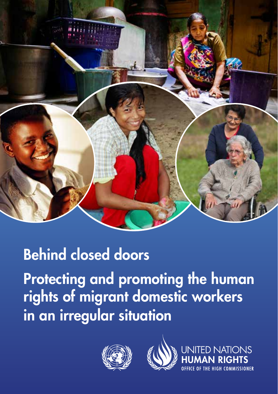

# Behind closed doors

Protecting and promoting the human rights of migrant domestic workers in an irregular situation





**ED NATIONS**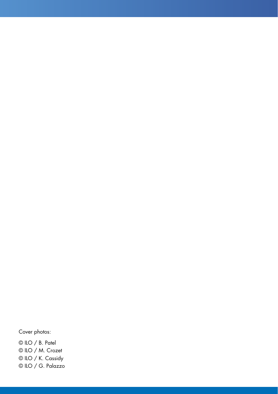#### Cover photos:

© ILO / B. Patel © ILO / M. Crozet © ILO / K. Cassidy © ILO / G. Palazzo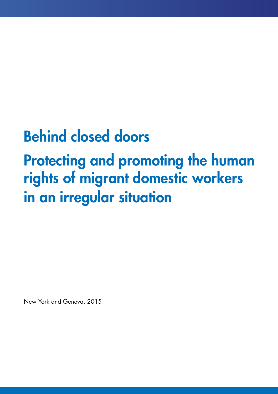# Behind closed doors

# Protecting and promoting the human rights of migrant domestic workers in an irregular situation

New York and Geneva, 2015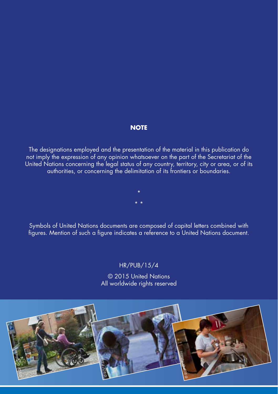#### **NOTE**

The designations employed and the presentation of the material in this publication do not imply the expression of any opinion whatsoever on the part of the Secretariat of the United Nations concerning the legal status of any country, territory, city or area, or of its authorities, or concerning the delimitation of its frontiers or boundaries.

> \* \* \*

Symbols of United Nations documents are composed of capital letters combined with figures. Mention of such a figure indicates a reference to a United Nations document.

#### HR/PUB/15/4

© 2015 United Nations All worldwide rights reserved

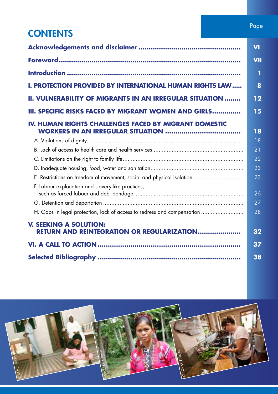### **CONTENTS**

|                                                                                    | $\overline{\mathsf{v}}$ |
|------------------------------------------------------------------------------------|-------------------------|
|                                                                                    | VII                     |
|                                                                                    | П                       |
| <b>I. PROTECTION PROVIDED BY INTERNATIONAL HUMAN RIGHTS LAW</b>                    | 8                       |
| <b>II. VULNERABILITY OF MIGRANTS IN AN IRREGULAR SITUATION </b>                    | 12                      |
| III. SPECIFIC RISKS FACED BY MIGRANT WOMEN AND GIRLS                               | 15                      |
| IV. HUMAN RIGHTS CHALLENGES FACED BY MIGRANT DOMESTIC                              | 18                      |
|                                                                                    | 18                      |
|                                                                                    | 21                      |
|                                                                                    | 22                      |
|                                                                                    | 23                      |
| E. Restrictions on freedom of movement; social and physical isolation              | 23                      |
| F. Labour exploitation and slavery-like practices,                                 | 26                      |
|                                                                                    | 27                      |
| H. Gaps in legal protection, lack of access to redress and compensation            | 28                      |
| <b>V. SEEKING A SOLUTION:</b><br><b>RETURN AND REINTEGRATION OR REGULARIZATION</b> | 32                      |
|                                                                                    | 37                      |
|                                                                                    | 38                      |

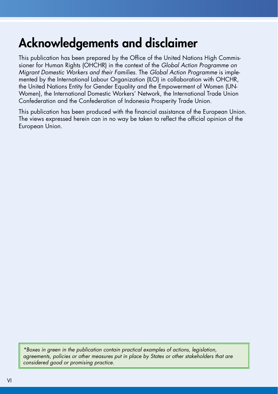### Acknowledgements and disclaimer

This publication has been prepared by the Office of the United Nations High Commissioner for Human Rights (OHCHR) in the context of the *Global Action Programme on Migrant Domestic Workers and their Families*. The *Global Action Programme* is implemented by the International Labour Organization (ILO) in collaboration with OHCHR, the United Nations Entity for Gender Equality and the Empowerment of Women (UN-Women), the International Domestic Workers' Network, the International Trade Union Confederation and the Confederation of Indonesia Prosperity Trade Union.

This publication has been produced with the financial assistance of the European Union. The views expressed herein can in no way be taken to reflect the official opinion of the European Union.

*\*Boxes in green in the publication contain practical examples of actions, legislation, agreements, policies or other measures put in place by States or other stakeholders that are considered good or promising practice.*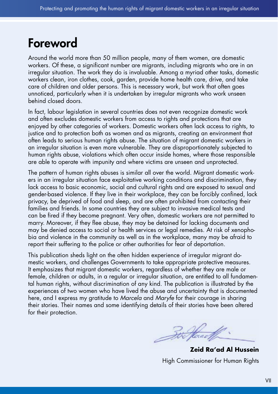### Foreword

Around the world more than 50 million people, many of them women, are domestic workers. Of these, a significant number are migrants, including migrants who are in an irregular situation. The work they do is invaluable. Among a myriad other tasks, domestic workers clean, iron clothes, cook, garden, provide home health care, drive, and take care of children and older persons. This is necessary work, but work that often goes unnoticed, particularly when it is undertaken by irregular migrants who work unseen behind closed doors.

In fact, labour legislation in several countries does not even recognize domestic work and often excludes domestic workers from access to rights and protections that are enjoyed by other categories of workers. Domestic workers often lack access to rights, to justice and to protection both as women and as migrants, creating an environment that often leads to serious human rights abuse. The situation of migrant domestic workers in an irregular situation is even more vulnerable. They are disproportionately subjected to human rights abuse, violations which often occur inside homes, where those responsible are able to operate with impunity and where victims are unseen and unprotected.

The pattern of human rights abuses is similar all over the world. Migrant domestic workers in an irregular situation face exploitative working conditions and discrimination, they lack access to basic economic, social and cultural rights and are exposed to sexual and gender-based violence. If they live in their workplace, they can be forcibly confined, lack privacy, be deprived of food and sleep, and are often prohibited from contacting their families and friends. In some countries they are subject to invasive medical tests and can be fired if they become pregnant. Very often, domestic workers are not permitted to marry. Moreover, if they flee abuse, they may be detained for lacking documents and may be denied access to social or health services or legal remedies. At risk of xenophobia and violence in the community as well as in the workplace, many may be afraid to report their suffering to the police or other authorities for fear of deportation.

This publication sheds light on the often hidden experience of irregular migrant domestic workers, and challenges Governments to take appropriate protective measures. It emphasizes that migrant domestic workers, regardless of whether they are male or female, children or adults, in a regular or irregular situation, are entitled to all fundamental human rights, without discrimination of any kind. The publication is illustrated by the experiences of two women who have lived the abuse and uncertainty that is documented here, and I express my gratitude to *Marcela* and *Maryfe* for their courage in sharing their stories. Their names and some identifying details of their stories have been altered for their protection.

Box House of

**Zeid Ra'ad Al Hussein** High Commissioner for Human Rights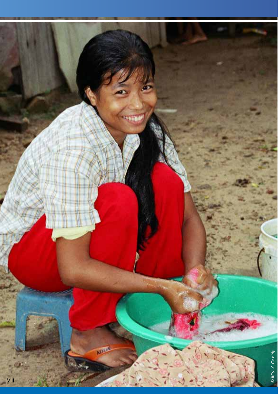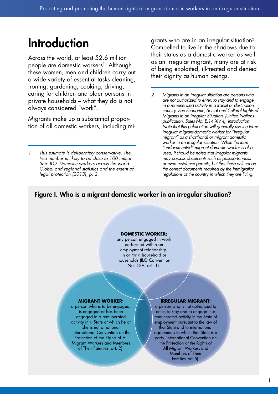### Introduction

Across the world, at least 52.6 million people are domestic workers<sup>1</sup>. Although these women, men and children carry out a wide variety of essential tasks cleaning, ironing, gardening, cooking, driving, caring for children and older persons in private households – what they do is not always considered "work".

Migrants make up a substantial proportion of all domestic workers, including migrants who are in an irregular situation2. Compelled to live in the shadows due to their status as a domestic worker as well as an irregular migrant, many are at risk of being exploited, ill-treated and denied their dignity as human beings.

*2 Migrants in an irregular situation are persons who are not authorized to enter, to stay and to engage in a remunerated activity in a transit or destination country. See Economic, Social and Cultural Rights of Migrants in an Irregular Situation (United Nations publication, Sales No. E.14.XIV.4), introduction. Note that this publication will generally use the terms irregular migrant domestic worker (or "irregular migrant" as a shorthand) or migrant domestic worker in an irregular situation. While the term "undocumented" migrant domestic worker is also used, it should be noted that irregular migrants may possess documents such as passports, visas or even residence permits, but that these will not be the correct documents required by the immigration regulations of the country in which they are living.*

#### Figure I. Who is a migrant domestic worker in an irregular situation?

#### **DOMESTIC WORKER:**

any person engaged in work performed within an employment relationship, in or for a household or households ILO Convention No. 189, art. 1).

#### **MIGRANT WORKER:**

a person who is to be engaged, is engaged or has been engaged in a remunerated activity in a State of which he or she is not a national (International Convention on the Protection of the Rights of All **Migrant Workers and Members** of Their Families, art. 2).

#### **IRREGULAR MIGRANT:**

a person who is not authorized to enter, to stay and to engage in a remunerated activity in the State of employment pursuant to the law of that State and to international agreements to which that State is a party (International Convention on the Protection of the Rights of All Migrant Workers and Members of Their Families, art. 5).

*<sup>1</sup> This estimate is deliberately conservative. The true number is likely to be close to 100 million. See: ILO, Domestic workers across the world: Global and regional statistics and the extent of legal protection (2013), p. 2.*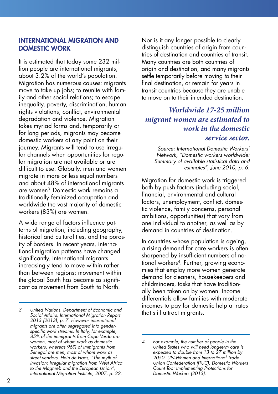#### INTERNATIONAL MIGRATION AND DOMESTIC WORK

It is estimated that today some 232 million people are international migrants, about 3.2% of the world's population. Migration has numerous causes: migrants move to take up jobs; to reunite with family and other social relations; to escape inequality, poverty, discrimination, human rights violations, conflict, environmental degradation and violence. Migration takes myriad forms and, temporarily or for long periods, migrants may become domestic workers at any point on their journey. Migrants will tend to use irregular channels when opportunities for regular migration are not available or are difficult to use. Globally, men and women migrate in more or less equal numbers and about 48% of international migrants are women3. Domestic work remains a traditionally feminized occupation and worldwide the vast majority of domestic workers (83%) are women.

A wide range of factors influence patterns of migration, including geography, historical and cultural ties, and the porosity of borders. In recent years, international migration patterns have changed significantly. International migrants increasingly tend to move within rather than between regions; movement within the global South has become as significant as movement from South to North.

*3 United Nations, Department of Economic and Social Affairs, International Migration Report 2013 (2013), p. 7. However international migrants are often segregated into genderspecific work streams. In Italy, for example, 85% of the immigrants from Cape Verde are women, most of whom work as domestic workers, whereas 96% of immigrants from Senegal are men, most of whom work as street vendors. Hein de Haas, "The myth of invasion: Irregular migration from West Africa to the Maghreb and the European Union", International Migration Institute, 2007, p. 22.*

Nor is it any longer possible to clearly distinguish countries of origin from countries of destination and countries of transit. Many countries are both countries of origin and destination, and many migrants settle temporarily before moving to their final destination, or remain for years in transit countries because they are unable to move on to their intended destination.

### *Worldwide 17-25 million migrant women are estimated to work in the domestic service sector.*

*Source: International Domestic Workers' Network, "Domestic workers worldwide: Summary of available statistical data and estimates", June 2010, p. 6.*

Migration for domestic work is triggered both by push factors (including social, financial, environmental and cultural factors, unemployment, conflict, domestic violence, family concerns, personal ambitions, opportunities) that vary from one individual to another, as well as by demand in countries of destination.

In countries whose population is ageing, a rising demand for care workers is often sharpened by insufficient numbers of national workers<sup>4</sup>. Further, growing economies that employ more women generate demand for cleaners, housekeepers and childminders, tasks that have traditionally been taken on by women. Income differentials allow families with moderate incomes to pay for domestic help at rates that still attract migrants.

*<sup>4</sup> For example, the number of people in the United States who will need long-term care is expected to double from 13 to 27 million by 2050. UN-Women and International Trade Union Confederation (ITUC), Domestic Workers Count Too: Implementing Protections for Domestic Workers (2013).*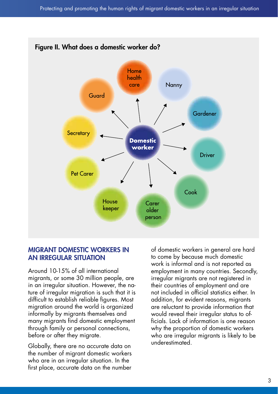

#### MIGRANT DOMESTIC WORKERS IN AN IRREGULAR SITUATION

Around 10-15% of all international migrants, or some 30 million people, are in an irregular situation. However, the nature of irregular migration is such that it is difficult to establish reliable figures. Most migration around the world is organized informally by migrants themselves and many migrants find domestic employment through family or personal connections, before or after they migrate.

Globally, there are no accurate data on the number of migrant domestic workers who are in an irregular situation. In the first place, accurate data on the number

of domestic workers in general are hard to come by because much domestic work is informal and is not reported as employment in many countries. Secondly, irregular migrants are not registered in their countries of employment and are not included in official statistics either. In addition, for evident reasons, migrants are reluctant to provide information that would reveal their irregular status to officials. Lack of information is one reason why the proportion of domestic workers who are irregular migrants is likely to be underestimated.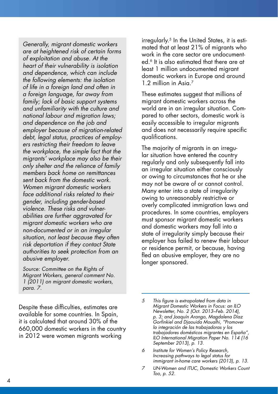*Generally, migrant domestic workers are at heightened risk of certain forms of exploitation and abuse. At the heart of their vulnerability is isolation and dependence, which can include the following elements: the isolation of life in a foreign land and often in a foreign language, far away from family; lack of basic support systems and unfamiliarity with the culture and national labour and migration laws; and dependence on the job and employer because of migration-related debt, legal status, practices of employers restricting their freedom to leave the workplace, the simple fact that the migrants' workplace may also be their only shelter and the reliance of family members back home on remittances sent back from the domestic work. Women migrant domestic workers face additional risks related to their gender, including gender-based violence. These risks and vulnerabilities are further aggravated for migrant domestic workers who are non-documented or in an irregular situation, not least because they often risk deportation if they contact State authorities to seek protection from an abusive employer.*

*Source: Committee on the Rights of Migrant Workers, general comment No. 1 (2011) on migrant domestic workers, para. 7.*

Despite these difficulties, estimates are available for some countries. In Spain, it is calculated that around 30% of the 660,000 domestic workers in the country in 2012 were women migrants working

irregularly.<sup>5</sup> In the United States, it is estimated that at least 21% of migrants who work in the care sector are undocumented.6 It is also estimated that there are at least 1 million undocumented migrant domestic workers in Europe and around 1.2 million in Asia.<sup>7</sup>

These estimates suggest that millions of migrant domestic workers across the world are in an irregular situation. Compared to other sectors, domestic work is easily accessible to irregular migrants and does not necessarily require specific qualifications.

The majority of migrants in an irregular situation have entered the country regularly and only subsequently fall into an irregular situation either consciously or owing to circumstances that he or she may not be aware of or cannot control. Many enter into a state of irregularity owing to unreasonably restrictive or overly complicated immigration laws and procedures. In some countries, employers must sponsor migrant domestic workers and domestic workers may fall into a state of irregularity simply because their employer has failed to renew their labour or residence permit, or because, having fled an abusive employer, they are no longer sponsored.

- *6 Institute for Women's Policy Research, Increasing pathways to legal status for immigrant in-home care workers (2013), p. 13.*
- *7 UN-Women and ITUC, Domestic Workers Count Too, p. 52.*

*<sup>5</sup> This figure is extrapolated from data in Migrant Domestic Workers in Focus: an ILO Newsletter, No. 2 (Oct. 2013–Feb. 2014), p. 3; and Joaquín Arango, Magdalena Díaz Gorfinkiel and Djaouida Moualhi, "Promover la integración de las trabajadoras y los trabajadores domésticos migrantes en España", ILO International Migration Paper No. 114 (16 September 2013), p. 13.*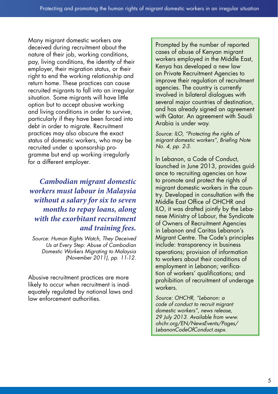Many migrant domestic workers are deceived during recruitment about the nature of their job, working conditions, pay, living conditions, the identity of their employer, their migration status, or their right to end the working relationship and return home. These practices can cause recruited migrants to fall into an irregular situation. Some migrants will have little option but to accept abusive working and living conditions in order to survive, particularly if they have been forced into debt in order to migrate. Recruitment practices may also obscure the exact status of domestic workers, who may be recruited under a sponsorship programme but end up working irregularly for a different employer.

*Cambodian migrant domestic workers must labour in Malaysia without a salary for six to seven months to repay loans, along with the exorbitant recruitment and training fees.* 

*Source: Human Rights Watch, They Deceived Us at Every Step: Abuse of Cambodian Domestic Workers Migrating to Malaysia (November 2011), pp. 11-12.*

Abusive recruitment practices are more likely to occur when recruitment is inadequately regulated by national laws and law enforcement authorities.

Prompted by the number of reported cases of abuse of Kenyan migrant workers employed in the Middle East, Kenya has developed a new law on Private Recruitment Agencies to improve their regulation of recruitment agencies. The country is currently involved in bilateral dialogues with several major countries of destination, and has already signed an agreement with Qatar. An agreement with Saudi Arabia is under way.

*Source: ILO, "Protecting the rights of migrant domestic workers", Briefing Note No. 4, pp. 2-3.*

In Lebanon, a Code of Conduct, launched in June 2013, provides guidance to recruiting agencies on how to promote and protect the rights of migrant domestic workers in the country. Developed in consultation with the Middle East Office of OHCHR and ILO, it was drafted jointly by the Lebanese Ministry of Labour, the Syndicate of Owners of Recruitment Agencies in Lebanon and Caritas Lebanon's Migrant Centre. The Code's principles include: transparency in business operations; provision of information to workers about their conditions of employment in Lebanon; verification of workers' qualifications; and prohibition of recruitment of underage workers.

*Source: OHCHR, "Lebanon: a code of conduct to recruit migrant domestic workers", news release, 29 July 2013. Available from www. ohchr.org/EN/NewsEvents/Pages/ LebanonCodeOfConduct.aspx.*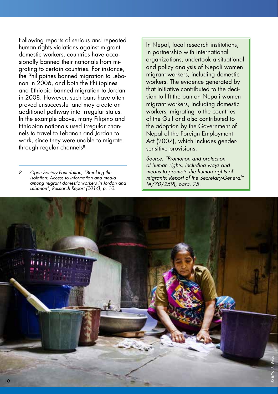Following reports of serious and repeated human rights violations against migrant domestic workers, countries have occasionally banned their nationals from migrating to certain countries. For instance, the Philippines banned migration to Lebanon in 2006, and both the Philippines and Ethiopia banned migration to Jordan in 2008. However, such bans have often proved unsuccessful and may create an additional pathway into irregular status. In the example above, many Filipino and Ethiopian nationals used irregular channels to travel to Lebanon and Jordan to work, since they were unable to migrate through regular channels<sup>8</sup>.

*8 Open Society Foundation, "Breaking the isolation: Access to information and media among migrant domestic workers in Jordan and Lebanon", Research Report (2014), p. 10.*

In Nepal, local research institutions, in partnership with international organizations, undertook a situational and policy analysis of Nepali women migrant workers, including domestic workers. The evidence generated by that initiative contributed to the decision to lift the ban on Nepali women migrant workers, including domestic workers, migrating to the countries of the Gulf and also contributed to the adoption by the Government of Nepal of the Foreign Employment Act (2007), which includes gendersensitive provisions.

*Source: "Promotion and protection of human rights, including ways and means to promote the human rights of migrants: Report of the Secretary-General" (A/70/259), para. 75.*

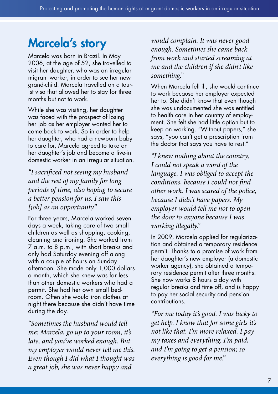### Marcela's story

Marcela was born in Brazil. In May 2006, at the age of 52, she travelled to visit her daughter, who was an irregular migrant worker, in order to see her new grand-child. Marcela travelled on a tourist visa that allowed her to stay for three months but not to work.

While she was visiting, her daughter was faced with the prospect of losing her job as her employer wanted her to come back to work. So in order to help her daughter, who had a newborn baby to care for, Marcela agreed to take on her daughter's job and become a live-in domestic worker in an irregular situation.

*"I sacrificed not seeing my husband and the rest of my family for long periods of time, also hoping to secure a better pension for us. I saw this [job] as an opportunity."*

For three years, Marcela worked seven days a week, taking care of two small children as well as shopping, cooking, cleaning and ironing. She worked from 7 a.m. to 8 p.m., with short breaks and only had Saturday evening off along with a couple of hours on Sunday afternoon. She made only 1,000 dollars a month, which she knew was far less than other domestic workers who had a permit. She had her own small bedroom. Often she would iron clothes at night there because she didn't have time during the day.

*"Sometimes the husband would tell me: Marcela, go up to your room, it's late, and you've worked enough. But my employer would never tell me this. Even though I did what I thought was a great job, she was never happy and* 

*would complain. It was never good enough. Sometimes she came back from work and started screaming at me and the children if she didn't like something."*

When Marcela fell ill, she would continue to work because her employer expected her to. She didn't know that even though she was undocumented she was entitled to health care in her country of employment. She felt she had little option but to keep on working. "Without papers," she says, "you can't get a prescription from the doctor that says you have to rest."

*"I knew nothing about the country, I could not speak a word of the language. I was obliged to accept the conditions, because I could not find other work. I was scared of the police, because I didn't have papers. My employer would tell me not to open the door to anyone because I was working illegally."* 

In 2009, Marcela applied for regularization and obtained a temporary residence permit. Thanks to a promise of work from her daughter's new employer (a domestic worker agency), she obtained a temporary residence permit after three months. She now works 8 hours a day with regular breaks and time off, and is happy to pay her social security and pension contributions.

*"For me today it's good. I was lucky to get help. I know that for some girls it's not like that. I'm more relaxed. I pay my taxes and everything. I'm paid, and I'm going to get a pension; so everything is good for me."*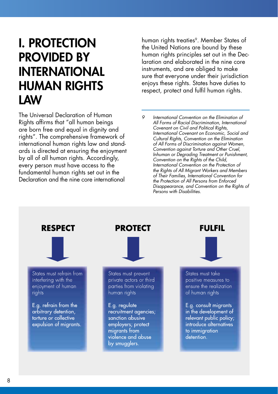### I. PROTECTION PROVIDED BY INTERNATIONAL HUMAN RIGHTS LAW

The Universal Declaration of Human Rights affirms that "all human beings are born free and equal in dignity and rights". The comprehensive framework of international human rights law and standards is directed at ensuring the enjoyment by all of all human rights. Accordingly, every person must have access to the fundamental human rights set out in the Declaration and the nine core international

human rights treaties<sup>9</sup>. Member States of the United Nations are bound by these human rights principles set out in the Declaration and elaborated in the nine core instruments, and are obliged to make sure that everyone under their jurisdiction enjoys these rights. States have duties to respect, protect and fulfil human rights.

*9 International Convention on the Elimination of All Forms of Racial Discrimination, International Covenant on Civil and Political Rights, International Covenant on Economic, Social and Cultural Rights, Convention on the Elimination of All Forms of Discrimination against Women, Convention against Torture and Other Cruel, Inhuman or Degrading Treatment or Punishment, Convention on the Rights of the Child, International Convention on the Protection of the Rights of All Migrant Workers and Members of Their Families, International Convention for the Protection of All Persons from Enforced Disappearance, and Convention on the Rights of Persons with Disabilities.*

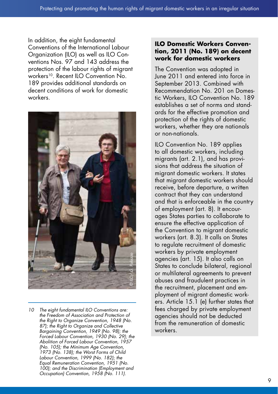In addition, the eight fundamental Conventions of the International Labour Organization (ILO) as well as ILO Conventions Nos. 97 and 143 address the protection of the labour rights of migrant workers<sup>10</sup>. Recent ILO Convention No. 189 provides additional standards on decent conditions of work for domestic workers.



*10 The eight fundamental ILO Conventions are: the Freedom of Association and Protection of the Right to Organize Convention, 1948 (No. 87); the Right to Organize and Collective Bargaining Convention, 1949 (No. 98); the Forced Labour Convention, 1930 (No. 29); the Abolition of Forced Labour Convention, 1957 (No. 105); the Minimum Age Convention, 1973 (No. 138); the Worst Forms of Child Labour Convention, 1999 (No. 182); the Equal Remuneration Convention, 1951 (No. 100); and the Discrimination (Employment and Occupation) Convention, 1958 (No. 111).*

#### **ILO Domestic Workers Convention, 2011 (No. 189) on decent work for domestic workers**

The Convention was adopted in June 2011 and entered into force in September 2013. Combined with Recommendation No. 201 on Domestic Workers, ILO Convention No. 189 establishes a set of norms and standards for the effective promotion and protection of the rights of domestic workers, whether they are nationals or non-nationals.

ILO Convention No. 189 applies to all domestic workers, including migrants (art. 2.1), and has provisions that address the situation of migrant domestic workers. It states that migrant domestic workers should receive, before departure, a written contract that they can understand and that is enforceable in the country of employment (art. 8). It encourages States parties to collaborate to ensure the effective application of the Convention to migrant domestic workers (art. 8.3). It calls on States to regulate recruitment of domestic workers by private employment agencies (art. 15). It also calls on States to conclude bilateral, regional or multilateral agreements to prevent abuses and fraudulent practices in the recruitment, placement and employment of migrant domestic workers. Article 15.1 (e) further states that fees charged by private employment agencies should not be deducted from the remuneration of domestic workers.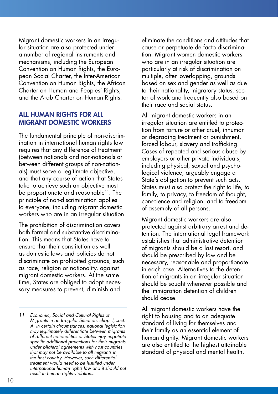Migrant domestic workers in an irregular situation are also protected under a number of regional instruments and mechanisms, including the European Convention on Human Rights, the European Social Charter, the Inter-American Convention on Human Rights, the African Charter on Human and Peoples' Rights, and the Arab Charter on Human Rights.

#### ALL HUMAN RIGHTS FOR ALL MIGRANT DOMESTIC WORKERS

The fundamental principle of non-discrimination in international human rights law requires that any difference of treatment (between nationals and non-nationals or between different groups of non-nationals) must serve a legitimate objective, and that any course of action that States take to achieve such an objective must be proportionate and reasonable<sup>11</sup>. The principle of non-discrimination applies to everyone, including migrant domestic workers who are in an irregular situation.

The prohibition of discrimination covers both formal and substantive discrimination. This means that States have to ensure that their constitution as well as domestic laws and policies do not discriminate on prohibited grounds, such as race, religion or nationality, against migrant domestic workers. At the same time, States are obliged to adopt necessary measures to prevent, diminish and

eliminate the conditions and attitudes that cause or perpetuate de facto discrimination. Migrant women domestic workers who are in an irregular situation are particularly at risk of discrimination on multiple, often overlapping, grounds based on sex and gender as well as due to their nationality, migratory status, sector of work and frequently also based on their race and social status.

All migrant domestic workers in an irregular situation are entitled to protection from torture or other cruel, inhuman or degrading treatment or punishment, forced labour, slavery and trafficking. Cases of repeated and serious abuse by employers or other private individuals, including physical, sexual and psychological violence, arguably engage a State's obligation to prevent such acts. States must also protect the right to life, to family, to privacy, to freedom of thought, conscience and religion, and to freedom of assembly of all persons.

Migrant domestic workers are also protected against arbitrary arrest and detention. The international legal framework establishes that administrative detention of migrants should be a last resort, and should be prescribed by law and be necessary, reasonable and proportionate in each case. Alternatives to the detention of migrants in an irregular situation should be sought whenever possible and the immigration detention of children should cease.

All migrant domestic workers have the right to housing and to an adequate standard of living for themselves and their family as an essential element of human dignity. Migrant domestic workers are also entitled to the highest attainable standard of physical and mental health.

*<sup>11</sup> Economic, Social and Cultural Rights of Migrants in an Irregular Situation, chap. I, sect. A. In certain circumstances, national legislation may legitimately differentiate between migrants of different nationalities or States may negotiate specific additional protections for their migrants under bilateral agreements with host countries that may not be available to all migrants in the host country. However, such differential treatment would need to be justified under international human rights law and it should not result in human rights violations.*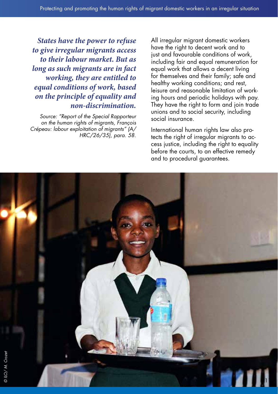*States have the power to refuse to give irregular migrants access to their labour market. But as long as such migrants are in fact working, they are entitled to equal conditions of work, based on the principle of equality and non-discrimination.* 

*Source: "Report of the Special Rapporteur on the human rights of migrants, François Crépeau: labour exploitation of migrants" (A/ HRC/26/35), para. 58.* All irregular migrant domestic workers have the right to decent work and to just and favourable conditions of work, including fair and equal remuneration for equal work that allows a decent living for themselves and their family; safe and healthy working conditions; and rest, leisure and reasonable limitation of working hours and periodic holidays with pay. They have the right to form and join trade unions and to social security, including social insurance.

International human rights law also protects the right of irregular migrants to access justice, including the right to equality before the courts, to an effective remedy and to procedural guarantees.

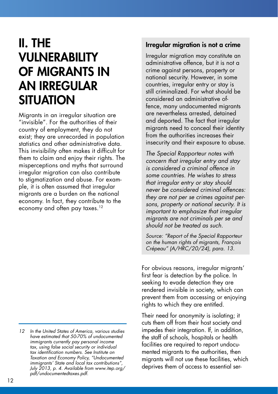### II. THE VULNERABILITY OF MIGRANTS IN AN IRREGULAR **SITUATION**

Migrants in an irregular situation are "invisible". For the authorities of their country of employment, they do not exist; they are unrecorded in population statistics and other administrative data. This invisibility often makes it difficult for them to claim and enjoy their rights. The misperceptions and myths that surround irregular migration can also contribute to stigmatization and abuse. For example, it is often assumed that irregular migrants are a burden on the national economy. In fact, they contribute to the economy and often pay taxes.<sup>12</sup>

#### Irregular migration is not a crime

Irregular migration may constitute an administrative offence, but it is not a crime against persons, property or national security. However, in some countries, irregular entry or stay is still criminalized. For what should be considered an administrative offence, many undocumented migrants are nevertheless arrested, detained and deported. The fact that irregular migrants need to conceal their identity from the authorities increases their insecurity and their exposure to abuse.

*The Special Rapporteur notes with concern that irregular entry and stay is considered a criminal offence in some countries. He wishes to stress that irregular entry or stay should never be considered criminal offences: they are not per se crimes against persons, property or national security. It is important to emphasize that irregular migrants are not criminals per se and should not be treated as such.* 

*Source: "Report of the Special Rapporteur on the human rights of migrants, François Crépeau" (A/HRC/20/24), para. 13.*

For obvious reasons, irregular migrants' first fear is detection by the police. In seeking to evade detection they are rendered invisible in society, which can prevent them from accessing or enjoying rights to which they are entitled.

Their need for anonymity is isolating; it cuts them off from their host society and impedes their integration. If, in addition, the staff of schools, hospitals or health facilities are required to report undocumented migrants to the authorities, then migrants will not use these facilities, which deprives them of access to essential ser-

*<sup>12</sup> In the United States of America, various studies have estimated that 50-70% of undocumented immigrants currently pay personal income tax, using false social security or individual tax identification numbers. See Institute on Taxation and Economy Policy, "Undocumented immigrants' State and local tax contributions", July 2013, p. 4. Available from www.itep.org/ pdf/undocumentedtaxes.pdf.*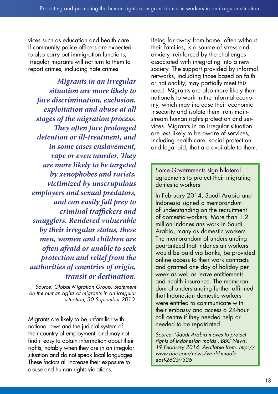vices such as education and health care. If community police officers are expected to also carry out immigration functions, irregular migrants will not turn to them to report crimes, including hate crimes.

*Migrants in an irregular situation are more likely to face discrimination, exclusion, exploitation and abuse at all stages of the migration process. They often face prolonged detention or ill-treatment, and in some cases enslavement, rape or even murder. They are more likely to be targeted by xenophobes and racists, victimized by unscrupulous employers and sexual predators, and can easily fall prey to criminal traffickers and smugglers. Rendered vulnerable by their irregular status, these men, women and children are often afraid or unable to seek protection and relief from the authorities of countries of origin, transit or destination.*

*Source: Global Migration Group, Statement on the human rights of migrants in an irregular situation, 30 September 2010.*

Migrants are likely to be unfamiliar with national laws and the judicial system of their country of employment, and may not find it easy to obtain information about their rights, notably when they are in an irregular situation and do not speak local languages. These factors all increase their exposure to abuse and human rights violations.

Being far away from home, often without their families, is a source of stress and anxiety, reinforced by the challenges associated with integrating into a new society. The support provided by informal networks, including those based on faith or nationality, may partially meet this need. Migrants are also more likely than nationals to work in the informal economy, which may increase their economic insecurity and isolate them from mainstream human rights protection and services. Migrants in an irregular situation are less likely to be aware of services, including health care, social protection and legal aid, that are available to them.

Some Governments sign bilateral agreements to protect their migrating domestic workers.

In February 2014, Saudi Arabia and Indonesia signed a memorandum of understanding on the recruitment of domestic workers. More than 1.2 million Indonesians work in Saudi Arabia, many as domestic workers. The memorandum of understanding guaranteed that Indonesian workers would be paid via banks, be provided online access to their work contracts and granted one day of holiday per week as well as leave entitlements and health insurance. The memorandum of understanding further affirmed that Indonesian domestic workers were entitled to communicate with their embassy and access a 24-hour call centre if they needed help or needed to be repatriated.

*Source: 'Saudi Arabia moves to protect rights of Indonesian maids', BBC News, 19 February 2014. Available from: http:// www.bbc.com/news/world-middleeast-26259326*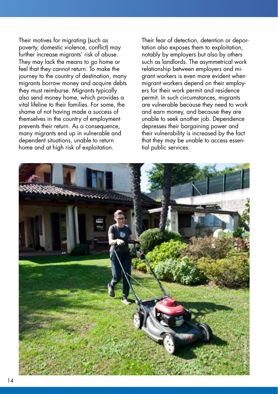Their motives for migrating (such as poverty, domestic violence, conflict) may further increase migrants' risk of abuse. They may lack the means to go home or feel that they cannot return. To make the journey to the country of destination, many migrants borrow money and acquire debts they must reimburse. Migrants typically also send money home, which provides a vital lifeline to their families. For some, the shame of not having made a success of themselves in the country of employment prevents their return. As a consequence, many migrants end up in vulnerable and dependent situations, unable to return home and at high risk of exploitation.

Their fear of detection, detention or deportation also exposes them to exploitation, notably by employers but also by others such as landlords. The asymmetrical work relationship between employers and migrant workers is even more evident when migrant workers depend on their employers for their work permit and residence permit. In such circumstances, migrants are vulnerable because they need to work and earn money, and because they are unable to seek another job. Dependence depresses their bargaining power and their vulnerability is increased by the fact that they may be unable to access essential public services.

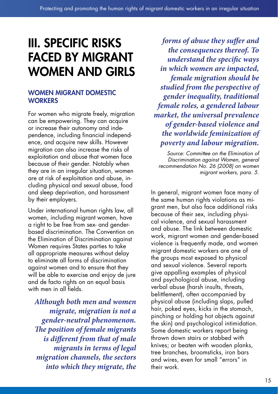### III. SPECIFIC RISKS FACED BY MIGRANT WOMEN AND GIRLS

#### WOMEN MIGRANT DOMESTIC **WORKERS**

For women who migrate freely, migration can be empowering. They can acquire or increase their autonomy and independence, including financial independence, and acquire new skills. However migration can also increase the risks of exploitation and abuse that women face because of their gender. Notably when they are in an irregular situation, women are at risk of exploitation and abuse, including physical and sexual abuse, food and sleep deprivation, and harassment by their employers.

Under international human rights law, all women, including migrant women, have a right to be free from sex- and genderbased discrimination. The Convention on the Elimination of Discrimination against Women requires States parties to take all appropriate measures without delay to eliminate all forms of discrimination against women and to ensure that they will be able to exercise and enjoy de jure and de facto rights on an equal basis with men in all fields.

*Although both men and women migrate, migration is not a gender-neutral phenomenon. The position of female migrants is different from that of male migrants in terms of legal migration channels, the sectors into which they migrate, the* 

*forms of abuse they suffer and the consequences thereof. To understand the specific ways in which women are impacted, female migration should be studied from the perspective of gender inequality, traditional female roles, a gendered labour market, the universal prevalence of gender-based violence and the worldwide feminization of poverty and labour migration.*

*Source: Committee on the Elimination of Discrimination against Women, general recommendation No. 26 (2008) on women migrant workers, para. 5.*

In general, migrant women face many of the same human rights violations as migrant men, but also face additional risks because of their sex, including physical violence, and sexual harassment and abuse. The link between domestic work, migrant women and gender-based violence is frequently made, and women migrant domestic workers are one of the groups most exposed to physical and sexual violence. Several reports give appalling examples of physical and psychological abuse, including verbal abuse (harsh insults, threats, belittlement), often accompanied by physical abuse (including slaps, pulled hair, poked eyes, kicks in the stomach, pinching or holding hot objects against the skin) and psychological intimidation. Some domestic workers report being thrown down stairs or stabbed with knives; or beaten with wooden planks, tree branches, broomsticks, iron bars and wires, even for small "errors" in their work.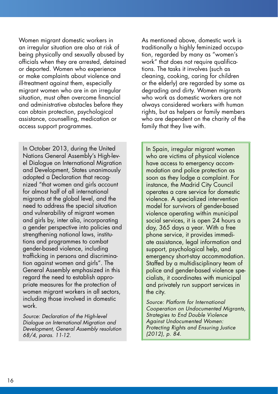Women migrant domestic workers in an irregular situation are also at risk of being physically and sexually abused by officials when they are arrested, detained or deported. Women who experience or make complaints about violence and ill-treatment against them, especially migrant women who are in an irregular situation, must often overcome financial and administrative obstacles before they can obtain protection, psychological assistance, counselling, medication or access support programmes.

In October 2013, during the United Nations General Assembly's High-level Dialogue on International Migration and Development, States unanimously adopted a Declaration that recognized "that women and girls account for almost half of all international migrants at the global level, and the need to address the special situation and vulnerability of migrant women and girls by, inter alia, incorporating a gender perspective into policies and strengthening national laws, institutions and programmes to combat gender-based violence, including trafficking in persons and discrimination against women and girls". The General Assembly emphasized in this regard the need to establish appropriate measures for the protection of women migrant workers in all sectors, including those involved in domestic work.

*Source: Declaration of the High-level Dialogue on International Migration and Development, General Assembly resolution 68/4, paras. 11-12.*

As mentioned above, domestic work is traditionally a highly feminized occupation, regarded by many as "women's work" that does not require qualifications. The tasks it involves (such as cleaning, cooking, caring for children or the elderly) are regarded by some as degrading and dirty. Women migrants who work as domestic workers are not always considered workers with human rights, but as helpers or family members who are dependent on the charity of the family that they live with.

In Spain, irregular migrant women who are victims of physical violence have access to emergency accommodation and police protection as soon as they lodge a complaint. For instance, the Madrid City Council operates a care service for domestic violence. A specialized intervention model for survivors of gender-based violence operating within municipal social services, it is open 24 hours a day, 365 days a year. With a free phone service, it provides immediate assistance, legal information and support, psychological help, and emergency short-stay accommodation. Staffed by a multidisciplinary team of police and gender-based violence specialists, it coordinates with municipal and privately run support services in the city.

*Source: Platform for International Cooperation on Undocumented Migrants, Strategies to End Double Violence Against Undocumented Women: Protecting Rights and Ensuring Justice (2012), p. 84.*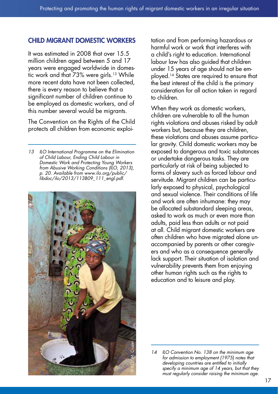#### CHILD MIGRANT DOMESTIC WORKERS

It was estimated in 2008 that over 15.5 million children aged between 5 and 17 years were engaged worldwide in domestic work and that 73% were girls.<sup>13</sup> While more recent data have not been collected, there is every reason to believe that a significant number of children continue to be employed as domestic workers, and of this number several would be migrants.

The Convention on the Rights of the Child protects all children from economic exploi-

*<sup>13</sup> ILO International Programme on the Elimination of Child Labour, Ending Child Labour in Domestic Work and Protecting Young Workers from Abusive Working Conditions (ILO, 2013), p. 20. Available from www.ilo.org/public/ libdoc/ilo/2013/113B09\_111\_engl.pdf.*



tation and from performing hazardous or harmful work or work that interferes with a child's right to education. International labour law has also guided that children under 15 years of age should not be employed.14 States are required to ensure that the best interest of the child is the primary consideration for all action taken in regard to children.

When they work as domestic workers, children are vulnerable to all the human rights violations and abuses risked by adult workers but, because they are children, these violations and abuses assume particular gravity. Child domestic workers may be exposed to dangerous and toxic substances or undertake dangerous tasks. They are particularly at risk of being subjected to forms of slavery such as forced labour and servitude. Migrant children can be particularly exposed to physical, psychological and sexual violence. Their conditions of life and work are often inhumane: they may be allocated substandard sleeping areas, asked to work as much or even more than adults, paid less than adults or not paid at all. Child migrant domestic workers are often children who have migrated alone unaccompanied by parents or other caregivers and who as a consequence generally lack support. Their situation of isolation and vulnerability prevents them from enjoying other human rights such as the rights to education and to leisure and play.

*<sup>14</sup> ILO Convention No. 138 on the minimum age for admission to employment (1975) notes that developing countries are entitled to initially specify a minimum age of 14 years, but that they must regularly consider raising the minimum age.*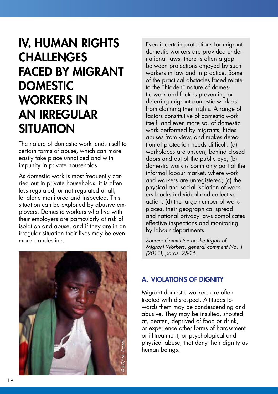### IV. HUMAN RIGHTS **CHALLENGES** FACED BY MIGRANT **DOMESTIC** WORKERS IN AN IRREGULAR **SITUATION**

The nature of domestic work lends itself to certain forms of abuse, which can more easily take place unnoticed and with impunity in private households.

As domestic work is most frequently carried out in private households, it is often less regulated, or not regulated at all, let alone monitored and inspected. This situation can be exploited by abusive employers. Domestic workers who live with their employers are particularly at risk of isolation and abuse, and if they are in an irregular situation their lives may be even more clandestine.



Even if certain protections for migrant domestic workers are provided under national laws, there is often a gap between protections enjoyed by such workers in law and in practice. Some of the practical obstacles faced relate to the "hidden" nature of domestic work and factors preventing or deterring migrant domestic workers from claiming their rights. A range of factors constitutive of domestic work itself, and even more so, of domestic work performed by migrants, hides abuses from view, and makes detection of protection needs difficult. (a) workplaces are unseen, behind closed doors and out of the public eye; (b) domestic work is commonly part of the informal labour market, where work and workers are unregistered; (c) the physical and social isolation of workers blocks individual and collective action; (d) the large number of workplaces, their geographical spread and national privacy laws complicates effective inspections and monitoring by labour departments.

*Source: Committee on the Rights of Migrant Workers, general comment No. 1 (2011), paras. 25-26.*

#### A. VIOLATIONS OF DIGNITY

Migrant domestic workers are often treated with disrespect. Attitudes towards them may be condescending and abusive. They may be insulted, shouted at, beaten, deprived of food or drink, or experience other forms of harassment or ill-treatment, or psychological and physical abuse, that deny their dignity as human beings.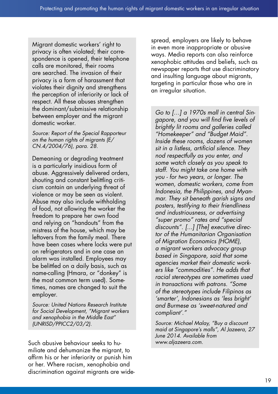Migrant domestic workers' right to privacy is often violated; their correspondence is opened, their telephone calls are monitored, their rooms are searched. The invasion of their privacy is a form of harassment that violates their dignity and strengthens the perception of inferiority or lack of respect. All these abuses strengthen the dominant/submissive relationship between employer and the migrant domestic worker.

*Source: Report of the Special Rapporteur on the human rights of migrants (E/ CN.4/2004/76), para. 28.*

Demeaning or degrading treatment is a particularly insidious form of abuse. Aggressively delivered orders, shouting and constant belittling criticism contain an underlying threat of violence or may be seen as violent. Abuse may also include withholding of food, not allowing the worker the freedom to prepare her own food and relying on "handouts" from the mistress of the house, which may be leftovers from the family meal. There have been cases where locks were put on refrigerators and in one case an alarm was installed. Employees may be belittled on a daily basis, such as name-calling (Hmara, or "donkey" is the most common term used). Sometimes, names are changed to suit the employer.

*Source: United Nations Research Institute for Social Development, "Migrant workers and xenophobia in the Middle East" (UNRISD/PPICC2/03/2).*

Such abusive behaviour seeks to humiliate and dehumanize the migrant, to affirm his or her inferiority or punish him or her. Where racism, xenophobia and discrimination against migrants are widespread, employers are likely to behave in even more inappropriate or abusive ways. Media reports can also reinforce xenophobic attitudes and beliefs, such as newspaper reports that use discriminatory and insulting language about migrants, targeting in particular those who are in an irregular situation.

*Go to […] a 1970s mall in central Singapore, and you will find five levels of brightly lit rooms and galleries called "Homekeeper" and "Budget Maid". Inside these rooms, dozens of women sit in a listless, artificial silence. They nod respectfully as you enter, and some watch closely as you speak to staff. You might take one home with you - for two years, or longer. The women, domestic workers, come from Indonesia, the Philippines, and Myanmar. They sit beneath garish signs and posters, testifying to their friendliness and industriousness, or advertising "super promo" rates and "special discounts". [...] [The] executive director of the Humanitarian Organisation of Migration Economics (HOME), a migrant workers advocacy group based in Singapore, said that some agencies market their domestic workers like "commodities". He adds that racial stereotypes are sometimes used in transactions with patrons. "Some of the stereotypes include Filipinos as 'smarter', Indonesians as 'less bright' and Burmese as 'sweet-natured and compliant'."*

*Source: Michael Malay, "Buy a discount maid at Singapore's malls", Al Jazeera, 27 June 2014. Available from www.aljazeera.com.*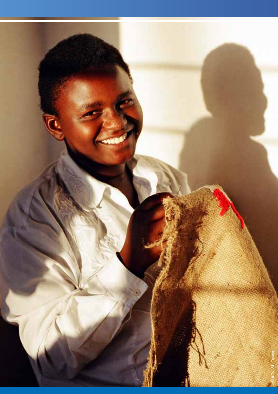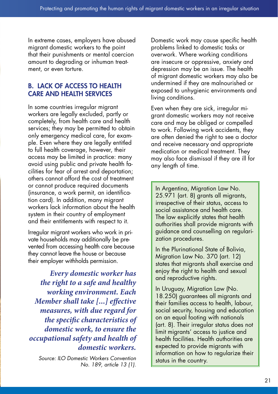In extreme cases, employers have abused migrant domestic workers to the point that their punishments or mental coercion amount to degrading or inhuman treatment, or even torture.

#### B. LACK OF ACCESS TO HEALTH CARE AND HEALTH SERVICES

In some countries irregular migrant workers are legally excluded, partly or completely, from health care and health services; they may be permitted to obtain only emergency medical care, for example. Even where they are legally entitled to full health coverage, however, their access may be limited in practice: many avoid using public and private health facilities for fear of arrest and deportation; others cannot afford the cost of treatment or cannot produce required documents (insurance, a work permit, an identification card). In addition, many migrant workers lack information about the health system in their country of employment and their entitlements with respect to it.

Irregular migrant workers who work in private households may additionally be prevented from accessing health care because they cannot leave the house or because their employer withholds permission.

*Every domestic worker has the right to a safe and healthy working environment. Each Member shall take [...] effective measures, with due regard for the specific characteristics of domestic work, to ensure the occupational safety and health of domestic workers.* 

*Source: ILO Domestic Workers Convention No. 189, article 13 (1).*

Domestic work may cause specific health problems linked to domestic tasks or overwork. Where working conditions are insecure or oppressive, anxiety and depression may be an issue. The health of migrant domestic workers may also be undermined if they are malnourished or exposed to unhygienic environments and living conditions.

Even when they are sick, irregular migrant domestic workers may not receive care and may be obliged or compelled to work. Following work accidents, they are often denied the right to see a doctor and receive necessary and appropriate medication or medical treatment. They may also face dismissal if they are ill for any length of time.

In Argentina, Migration Law No. 25.971 (art. 8) arants all migrants, irrespective of their status, access to social assistance and health care. The law explicitly states that health authorities shall provide migrants with guidance and counselling on regularization procedures.

In the Plurinational State of Bolivia, Migration Law No. 370 (art. 12) states that migrants shall exercise and enjoy the right to health and sexual and reproductive rights.

In Uruguay, Migration Law (No. 18.250) guarantees all migrants and their families access to health, labour, social security, housing and education on an equal footing with nationals (art. 8). Their irregular status does not limit migrants' access to justice and health facilities. Health authorities are expected to provide migrants with information on how to regularize their status in the country.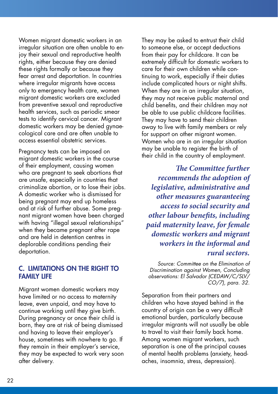Women migrant domestic workers in an irregular situation are often unable to enjoy their sexual and reproductive health rights, either because they are denied these rights formally or because they fear arrest and deportation. In countries where irregular migrants have access only to emergency health care, women migrant domestic workers are excluded from preventive sexual and reproductive health services, such as periodic smear tests to identify cervical cancer. Migrant domestic workers may be denied gynaecological care and are often unable to access essential obstetric services.

Pregnancy tests can be imposed on migrant domestic workers in the course of their employment, causing women who are pregnant to seek abortions that are unsafe, especially in countries that criminalize abortion, or to lose their jobs. A domestic worker who is dismissed for being pregnant may end up homeless and at risk of further abuse. Some pregnant migrant women have been charged with having "illegal sexual relationships" when they became pregnant after rape and are held in detention centres in deplorable conditions pending their deportation.

#### C. LIMITATIONS ON THE RIGHT TO FAMILY LIFE

Migrant women domestic workers may have limited or no access to maternity leave, even unpaid, and may have to continue working until they give birth. During pregnancy or once their child is born, they are at risk of being dismissed and having to leave their employer's house, sometimes with nowhere to go. If they remain in their employer's service, they may be expected to work very soon after delivery.

They may be asked to entrust their child to someone else, or accept deductions from their pay for childcare. It can be extremely difficult for domestic workers to care for their own children while continuing to work, especially if their duties include complicated hours or night shifts. When they are in an irregular situation, they may not receive public maternal and child benefits, and their children may not be able to use public childcare facilities. They may have to send their children away to live with family members or rely for support on other migrant women. Women who are in an irregular situation may be unable to register the birth of their child in the country of employment.

*The Committee further recommends the adoption of legislative, administrative and other measures guaranteeing access to social security and other labour benefits, including paid maternity leave, for female domestic workers and migrant workers in the informal and rural sectors.*

*Source: Committee on the Elimination of Discrimination against Women, Concluding observations: El Salvador (CEDAW/C/SLV/ CO/7), para. 32.*

Separation from their partners and children who have stayed behind in the country of origin can be a very difficult emotional burden, particularly because irregular migrants will not usually be able to travel to visit their family back home. Among women migrant workers, such separation is one of the principal causes of mental health problems (anxiety, headaches, insomnia, stress, depression).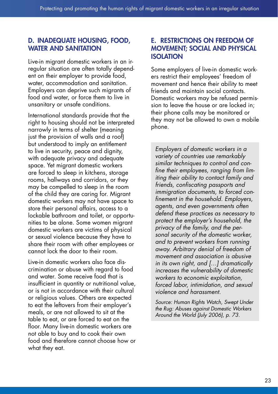#### D. INADEQUATE HOUSING, FOOD, WATER AND SANITATION

Live-in migrant domestic workers in an irregular situation are often totally dependent on their employer to provide food, water, accommodation and sanitation. Employers can deprive such migrants of food and water, or force them to live in unsanitary or unsafe conditions.

International standards provide that the right to housing should not be interpreted narrowly in terms of shelter (meaning just the provision of walls and a roof) but understood to imply an entitlement to live in security, peace and dignity, with adequate privacy and adequate space. Yet migrant domestic workers are forced to sleep in kitchens, storage rooms, hallways and corridors, or they may be compelled to sleep in the room of the child they are caring for. Migrant domestic workers may not have space to store their personal affairs, access to a lockable bathroom and toilet, or opportunities to be alone. Some women migrant domestic workers are victims of physical or sexual violence because they have to share their room with other employees or cannot lock the door to their room.

Live-in domestic workers also face discrimination or abuse with regard to food and water. Some receive food that is insufficient in quantity or nutritional value, or is not in accordance with their cultural or religious values. Others are expected to eat the leftovers from their employer's meals, or are not allowed to sit at the table to eat, or are forced to eat on the floor. Many live-in domestic workers are not able to buy and to cook their own food and therefore cannot choose how or what they eat.

#### E. RESTRICTIONS ON FREEDOM OF MOVEMENT; SOCIAL AND PHYSICAL **ISOLATION**

Some employers of live-in domestic workers restrict their employees' freedom of movement and hence their ability to meet friends and maintain social contacts. Domestic workers may be refused permission to leave the house or are locked in; their phone calls may be monitored or they may not be allowed to own a mobile phone.

*Employers of domestic workers in a variety of countries use remarkably similar techniques to control and confine their employees, ranging from limiting their ability to contact family and friends, confiscating passports and immigration documents, to forced confinement in the household. Employers, agents, and even governments often defend these practices as necessary to protect the employer's household, the privacy of the family, and the personal security of the domestic worker, and to prevent workers from running away. Arbitrary denial of freedom of movement and association is abusive in its own right, and […] dramatically increases the vulnerability of domestic workers to economic exploitation, forced labor, intimidation, and sexual violence and harassment.*

*Source: Human Rights Watch, Swept Under the Rug: Abuses against Domestic Workers Around the World (July 2006), p. 73.*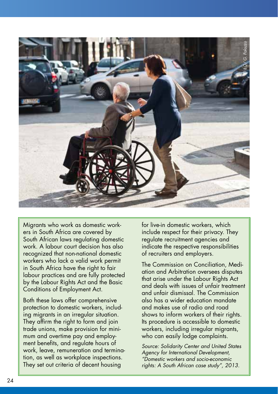

Migrants who work as domestic workers in South Africa are covered by South African laws regulating domestic work. A labour court decision has also recognized that non-national domestic workers who lack a valid work permit in South Africa have the right to fair labour practices and are fully protected by the Labour Rights Act and the Basic Conditions of Employment Act.

Both these laws offer comprehensive protection to domestic workers, including migrants in an irregular situation. They affirm the right to form and join trade unions, make provision for minimum and overtime pay and employment benefits, and regulate hours of work, leave, remuneration and termination, as well as workplace inspections. They set out criteria of decent housing

for live-in domestic workers, which include respect for their privacy. They regulate recruitment agencies and indicate the respective responsibilities of recruiters and employers.

The Commission on Conciliation, Mediation and Arbitration oversees disputes that arise under the Labour Rights Act and deals with issues of unfair treatment and unfair dismissal. The Commission also has a wider education mandate and makes use of radio and road shows to inform workers of their rights. Its procedure is accessible to domestic workers, including irregular migrants, who can easily lodge complaints.

*Source: Solidarity Center and United States Agency for International Development, "Domestic workers and socio-economic rights: A South African case study", 2013.*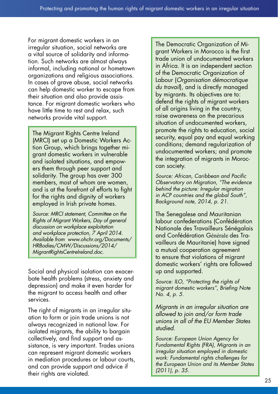For migrant domestic workers in an irregular situation, social networks are a vital source of solidarity and information. Such networks are almost always informal, including national or hometown organizations and religious associations. In cases of grave abuse, social networks can help domestic worker to escape from their situation and also provide assistance. For migrant domestic workers who have little time to rest and relax, such networks provide vital support.

The Migrant Rights Centre Ireland (MRCI) set up a Domestic Workers Action Group, which brings together migrant domestic workers in vulnerable and isolated situations, and empowers them through peer support and solidarity. The group has over 300 members, most of whom are women, and is at the forefront of efforts to fight for the rights and dignity of workers employed in Irish private homes.

*Source: MRCI statement, Committee on the Rights of Migrant Workers, Day of general discussion on workplace exploitation and workplace protection, 7 April 2014. Available from www.ohchr.org/Documents/ HRBodies/CMW/Discussions/2014/ MigrantRightsCentreIreland.doc.*

Social and physical isolation can exacerbate health problems (stress, anxiety and depression) and make it even harder for the migrant to access health and other services.

The right of migrants in an irregular situation to form or join trade unions is not always recognized in national law. For isolated migrants, the ability to bargain collectively, and find support and assistance, is very important. Trades unions can represent migrant domestic workers in mediation procedures or labour courts, and can provide support and advice if their rights are violated.

The Democratic Organization of Migrant Workers in Morocco is the first trade union of undocumented workers in Africa. It is an independent section of the Democratic Organization of Labour (*Organisation démocratique du travail*), and is directly managed by migrants. Its objectives are to: defend the rights of migrant workers of all origins living in the country, raise awareness on the precarious situation of undocumented workers, promote the rights to education, social security, equal pay and equal working conditions; demand regularization of undocumented workers; and promote the integration of migrants in Moroccan society.

*Source: African, Caribbean and Pacific Observatory on Migration, "The evidence behind the picture: Irregular migration in ACP countries and the global South", Background note, 2014, p. 21.*

The Senegalese and Mauritanian labour confederations (Confédération Nationale des Travailleurs Sénégalais and Confédération Générale des Travailleurs de Mauritanie) have signed a mutual cooperation agreement to ensure that violations of migrant domestic workers' rights are followed up and supported.

*Source: ILO, "Protecting the rights of migrant domestic workers", Briefing Note No. 4, p. 5.*

*Migrants in an irregular situation are allowed to join and/or form trade unions in all of the EU Member States studied.*

*Source: European Union Agency for Fundamental Rights (FRA), Migrants in an irregular situation employed in domestic work: Fundamental rights challenges for the European Union and its Member States (2011), p. 35.*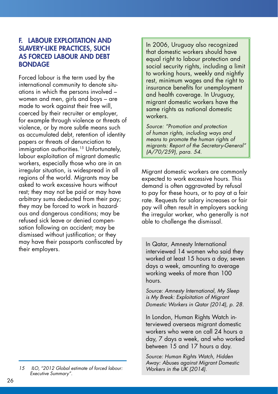#### F. LABOUR EXPLOITATION AND SLAVERY-LIKE PRACTICES, SUCH AS FORCED LABOUR AND DEBT BONDAGE

Forced labour is the term used by the international community to denote situations in which the persons involved – women and men, girls and boys – are made to work against their free will, coerced by their recruiter or employer, for example through violence or threats of violence, or by more subtle means such as accumulated debt, retention of identity papers or threats of denunciation to immigration authorities.<sup>15</sup> Unfortunately, labour exploitation of migrant domestic workers, especially those who are in an irregular situation, is widespread in all regions of the world. Migrants may be asked to work excessive hours without rest; they may not be paid or may have arbitrary sums deducted from their pay; they may be forced to work in hazardous and dangerous conditions; may be refused sick leave or denied compensation following an accident; may be dismissed without justification; or they may have their passports confiscated by their employers.

In 2006, Uruguay also recognized that domestic workers should have equal right to labour protection and social security rights, including a limit to working hours, weekly and nightly rest, minimum wages and the right to insurance benefits for unemployment and health coverage. In Uruguay, migrant domestic workers have the same rights as national domestic workers.

*Source: "Promotion and protection of human rights, including ways and means to promote the human rights of migrants: Report of the Secretary-General" (A/70/259), para. 54.*

Migrant domestic workers are commonly expected to work excessive hours. This demand is often aggravated by refusal to pay for these hours, or to pay at a fair rate. Requests for salary increases or fair pay will often result in employers sacking the irregular worker, who generally is not able to challenge the dismissal.

In Qatar, Amnesty International interviewed 14 women who said they worked at least 15 hours a day, seven days a week, amounting to average working weeks of more than 100 hours.

*Source: Amnesty International, My Sleep is My Break: Exploitation of Migrant Domestic Workers in Qatar (2014), p. 28.*

In London, Human Rights Watch interviewed overseas migrant domestic workers who were on call 24 hours a day, 7 days a week, and who worked between 15 and 17 hours a day.

*Source: Human Rights Watch, Hidden Away: Abuses against Migrant Domestic Workers in the UK (2014).*

*<sup>15</sup> ILO, "2012 Global estimate of forced labour: Executive Summary".*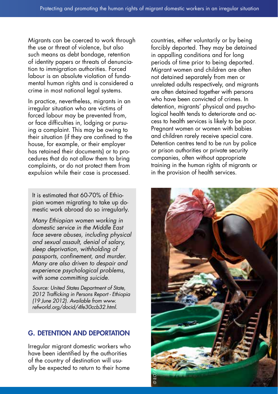Migrants can be coerced to work through the use or threat of violence, but also such means as debt bondage, retention of identity papers or threats of denunciation to immigration authorities. Forced labour is an absolute violation of fundamental human rights and is considered a crime in most national legal systems.

In practice, nevertheless, migrants in an irregular situation who are victims of forced labour may be prevented from, or face difficulties in, lodging or pursuing a complaint. This may be owing to their situation (if they are confined to the house, for example, or their employer has retained their documents) or to procedures that do not allow them to bring complaints, or do not protect them from expulsion while their case is processed.

It is estimated that 60-70% of Ethiopian women migrating to take up domestic work abroad do so irregularly.

*Many Ethiopian women working in domestic service in the Middle East face severe abuses, including physical and sexual assault, denial of salary, sleep deprivation, withholding of passports, confinement, and murder. Many are also driven to despair and experience psychological problems, with some committing suicide.*

*Source: United States Department of State, 2012 Trafficking in Persons Report - Ethiopia (19 June 2012). Available from www. refworld.org/docid/4fe30ccb32.html.*

#### G. DETENTION AND DEPORTATION

Irregular migrant domestic workers who have been identified by the authorities of the country of destination will usually be expected to return to their home

countries, either voluntarily or by being forcibly deported. They may be detained in appalling conditions and for long periods of time prior to being deported. Migrant women and children are often not detained separately from men or unrelated adults respectively, and migrants are often detained together with persons who have been convicted of crimes. In detention, migrants' physical and psychological health tends to deteriorate and access to health services is likely to be poor. Pregnant women or women with babies and children rarely receive special care. Detention centres tend to be run by police or prison authorities or private security companies, often without appropriate training in the human rights of migrants or in the provision of health services.

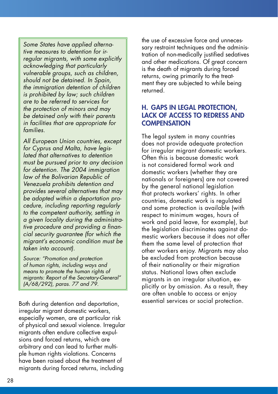*Some States have applied alternative measures to detention for irregular migrants, with some explicitly acknowledging that particularly vulnerable groups, such as children, should not be detained. In Spain, the immigration detention of children is prohibited by law; such children are to be referred to services for the protection of minors and may be detained only with their parents in facilities that are appropriate for families.*

*All European Union countries, except for Cyprus and Malta, have legislated that alternatives to detention must be pursued prior to any decision for detention. The 2004 immigration law of the Bolivarian Republic of Venezuela prohibits detention and provides several alternatives that may be adopted within a deportation procedure, including reporting regularly to the competent authority, settling in a given locality during the administrative procedure and providing a financial security guarantee (for which the migrant's economic condition must be taken into account).*

*Source: "Promotion and protection of human rights, including ways and means to promote the human rights of migrants: Report of the Secretary-General" (A/68/292), paras. 77 and 79.*

Both during detention and deportation, irregular migrant domestic workers, especially women, are at particular risk of physical and sexual violence. Irregular migrants often endure collective expulsions and forced returns, which are arbitrary and can lead to further multiple human rights violations. Concerns have been raised about the treatment of migrants during forced returns, including

the use of excessive force and unnecessary restraint techniques and the administration of non-medically justified sedatives and other medications. Of great concern is the death of migrants during forced returns, owing primarily to the treatment they are subjected to while being returned.

#### H. GAPS IN LEGAL PROTECTION, LACK OF ACCESS TO REDRESS AND **COMPENSATION**

The legal system in many countries does not provide adequate protection for irregular migrant domestic workers. Often this is because domestic work is not considered formal work and domestic workers (whether they are nationals or foreigners) are not covered by the general national legislation that protects workers' rights. In other countries, domestic work is regulated and some protection is available (with respect to minimum wages, hours of work and paid leave, for example), but the legislation discriminates against domestic workers because it does not offer them the same level of protection that other workers enjoy. Migrants may also be excluded from protection because of their nationality or their migration status. National laws often exclude migrants in an irregular situation, explicitly or by omission. As a result, they are often unable to access or enjoy essential services or social protection.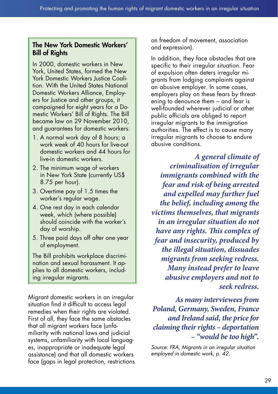#### The New York Domestic Workers' Bill of Rights

In 2000, domestic workers in New York, United States, formed the New York Domestic Workers Justice Coalition. With the United States National Domestic Workers Alliance, Employers for Justice and other groups, it campaigned for eight years for a Domestic Workers' Bill of Rights. The Bill became law on 29 November 2010, and guarantees for domestic workers:

- 1. A normal work day of 8 hours; a work week of 40 hours for live-out domestic workers and 44 hours for live-in domestic workers.
- 2. The minimum wage of workers in New York State (currently US\$ 8.75 per hour).
- 3. Overtime pay of 1.5 times the worker's regular wage.
- 4. One rest day in each calendar week, which (where possible) should coincide with the worker's day of worship.
- 5. Three paid days off after one year of employment.

The Bill prohibits workplace discrimination and sexual harassment. It applies to all domestic workers, including irregular migrants.

Migrant domestic workers in an irregular situation find it difficult to access legal remedies when their rights are violated. First of all, they face the same obstacles that all migrant workers face (unfamiliarity with national laws and judicial systems, unfamiliarity with local languages, inappropriate or inadequate legal assistance) and that all domestic workers face (gaps in legal protection, restrictions on freedom of movement, association and expression).

In addition, they face obstacles that are specific to their irregular situation. Fear of expulsion often deters irregular migrants from lodging complaints against an abusive employer. In some cases, employers play on these fears by threatening to denounce them – and fear is well-founded wherever judicial or other public officials are obliged to report irregular migrants to the immigration authorities. The effect is to cause many irregular migrants to choose to endure abusive conditions.

*A general climate of criminalisation of irregular immigrants combined with the fear and risk of being arrested and expelled may further fuel the belief, including among the victims themselves, that migrants in an irregular situation do not have any rights. This complex of fear and insecurity, produced by the illegal situation, dissuades migrants from seeking redress. Many instead prefer to leave abusive employers and not to seek redress.* 

*As many interviewees from Poland, Germany, Sweden, France and Ireland said, the price for claiming their rights – deportation – "would be too high".* 

*Source: FRA, Migrants in an irregular situation employed in domestic work, p. 42.*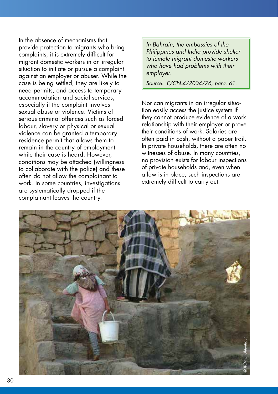In the absence of mechanisms that provide protection to migrants who bring complaints, it is extremely difficult for migrant domestic workers in an irregular situation to initiate or pursue a complaint against an employer or abuser. While the case is being settled, they are likely to need permits, and access to temporary accommodation and social services, especially if the complaint involves sexual abuse or violence. Victims of serious criminal offences such as forced labour, slavery or physical or sexual violence can be granted a temporary residence permit that allows them to remain in the country of employment while their case is heard. However, conditions may be attached (willingness to collaborate with the police) and these often do not allow the complainant to work. In some countries, investigations are systematically dropped if the complainant leaves the country.

*In Bahrain, the embassies of the Philippines and India provide shelter to female migrant domestic workers who have had problems with their employer.*

*Source: E/CN.4/2004/76, para. 61.*

Nor can migrants in an irregular situation easily access the justice system if they cannot produce evidence of a work relationship with their employer or prove their conditions of work. Salaries are often paid in cash, without a paper trail. In private households, there are often no witnesses of abuse. In many countries, no provision exists for labour inspections of private households and, even when a law is in place, such inspections are extremely difficult to carry out.

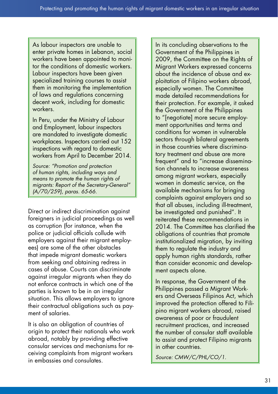As labour inspectors are unable to enter private homes in Lebanon, social workers have been appointed to monitor the conditions of domestic workers. Labour inspectors have been given specialized training courses to assist them in monitoring the implementation of laws and regulations concerning decent work, including for domestic workers.

In Peru, under the Ministry of Labour and Employment, labour inspectors are mandated to investigate domestic workplaces. Inspectors carried out 152 inspections with regard to domestic workers from April to December 2014.

*Source: "Promotion and protection of human rights, including ways and means to promote the human rights of migrants: Report of the Secretary-General" (A/70/259), paras. 65-66.*

Direct or indirect discrimination against foreigners in judicial proceedings as well as corruption (for instance, when the police or judicial officials collude with employers against their migrant employees) are some of the other obstacles that impede migrant domestic workers from seeking and obtaining redress in cases of abuse. Courts can discriminate against irregular migrants when they do not enforce contracts in which one of the parties is known to be in an irregular situation. This allows employers to ignore their contractual obligations such as payment of salaries.

It is also an obligation of countries of origin to protect their nationals who work abroad, notably by providing effective consular services and mechanisms for receiving complaints from migrant workers in embassies and consulates.

In its concluding observations to the Government of the Philippines in 2009, the Committee on the Rights of Migrant Workers expressed concerns about the incidence of abuse and exploitation of Filipino workers abroad, especially women. The Committee made detailed recommendations for their protection. For example, it asked the Government of the Philippines to "[negotiate] more secure employment opportunities and terms and conditions for women in vulnerable sectors through bilateral agreements in those countries where discriminatory treatment and abuse are more frequent" and to "increase dissemination channels to increase awareness among migrant workers, especially women in domestic service, on the available mechanisms for bringing complaints against employers and so that all abuses, including ill-treatment, be investigated and punished". It reiterated these recommendations in 2014. The Committee has clarified the obligations of countries that promote institutionalized migration, by inviting them to regulate the industry and apply human rights standards, rather than consider economic and development aspects alone.

In response, the Government of the Philippines passed a Migrant Workers and Overseas Filipinos Act, which improved the protection offered to Filipino migrant workers abroad, raised awareness of poor or fraudulent recruitment practices, and increased the number of consular staff available to assist and protect Filipino migrants in other countries.

*Source: CMW/C/PHL/CO/1.*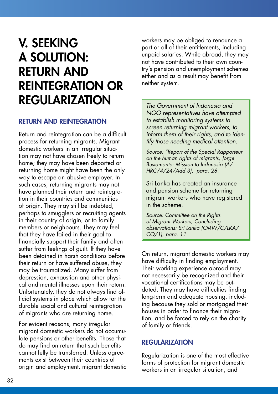### V. SEEKING A SOLUTION: RETURN AND REINTEGRATION OR REGULARIZATION

#### RETURN AND REINTEGRATION

Return and reintegration can be a difficult process for returning migrants. Migrant domestic workers in an irregular situation may not have chosen freely to return home; they may have been deported or returning home might have been the only way to escape an abusive employer. In such cases, returning migrants may not have planned their return and reintegration in their countries and communities of origin. They may still be indebted, perhaps to smugglers or recruiting agents in their country of origin, or to family members or neighbours. They may feel that they have failed in their goal to financially support their family and often suffer from feelings of guilt. If they have been detained in harsh conditions before their return or have suffered abuse, they may be traumatized. Many suffer from depression, exhaustion and other physical and mental illnesses upon their return. Unfortunately, they do not always find official systems in place which allow for the durable social and cultural reintegration of migrants who are returning home.

For evident reasons, many irregular migrant domestic workers do not accumulate pensions or other benefits. Those that do may find on return that such benefits cannot fully be transferred. Unless agreements exist between their countries of origin and employment, migrant domestic workers may be obliged to renounce a part or all of their entitlements, including unpaid salaries. While abroad, they may not have contributed to their own country's pension and unemployment schemes either and as a result may benefit from neither system.

*The Government of Indonesia and NGO representatives have attempted to establish monitoring systems to screen returning migrant workers, to inform them of their rights, and to identify those needing medical attention.*

*Source: "Report of the Special Rapporteur on the human rights of migrants, Jorge Bustamante: Mission to Indonesia (A/ HRC/4/24/Add.3), para. 28.*

Sri Lanka has created an insurance and pension scheme for returning migrant workers who have registered in the scheme.

*Source: Committee on the Rights of Migrant Workers, Concluding observations: Sri Lanka (CMW/C/LKA/ CO/1), para. 11*

On return, migrant domestic workers may have difficulty in finding employment. Their working experience abroad may not necessarily be recognized and their vocational certifications may be outdated. They may have difficulties finding long-term and adequate housing, including because they sold or mortgaged their houses in order to finance their migration, and be forced to rely on the charity of family or friends.

#### REGULARIZATION

Regularization is one of the most effective forms of protection for migrant domestic workers in an irregular situation, and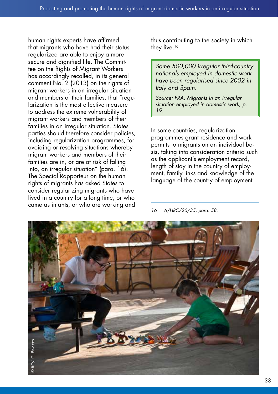human rights experts have affirmed that migrants who have had their status regularized are able to enjoy a more secure and dignified life. The Committee on the Rights of Migrant Workers has accordingly recalled, in its general comment No. 2 (2013) on the rights of migrant workers in an irregular situation and members of their families, that "regularization is the most effective measure to address the extreme vulnerability of migrant workers and members of their families in an irregular situation. States parties should therefore consider policies, including regularization programmes, for avoiding or resolving situations whereby migrant workers and members of their families are in, or are at risk of falling into, an irregular situation" (para. 16). The Special Rapporteur on the human rights of migrants has asked States to consider regularizing migrants who have lived in a country for a long time, or who came as infants, or who are working and

thus contributing to the society in which they live.<sup>16</sup>

*Some 500,000 irregular third-country nationals employed in domestic work have been regulari*s*ed since 2002 in Italy and Spain.*

*Source: FRA, Migrants in an irregular situation employed in domestic work, p. 19.*

In some countries, regularization programmes grant residence and work permits to migrants on an individual basis, taking into consideration criteria such as the applicant's employment record, length of stay in the country of employment, family links and knowledge of the language of the country of employment.

*<sup>16</sup> A/HRC/26/35, para. 58.*

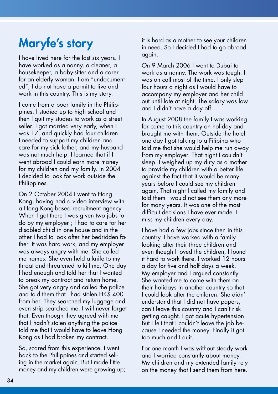## Maryfe's story

I have lived here for the last six years. I have worked as a nanny, a cleaner, a housekeeper, a baby-sitter and a carer for an elderly woman. I am "undocumented"; I do not have a permit to live and work in this country. This is my story.

I come from a poor family in the Philippines. I studied up to high school and then I quit my studies to work as a street seller. I got married very early, when I was 17, and quickly had four children. I needed to support my children and care for my sick father, and my husband was not much help. I learned that if I went abroad I could earn more money for my children and my family. In 2004 I decided to look for work outside the Philippines.

On 2 October 2004 I went to Hong Kong, having had a video interview with a Hong Kong-based recruitment agency. When I got there I was given two jobs to do by my employer ; I had to care for her disabled child in one house and in the other I had to look after her bedridden father. It was hard work, and my employer was always angry with me. She called me names. She even held a knife to my throat and threatened to kill me. One day I had enough and told her that I wanted to break my contract and return home. She got very angry and called the police and told them that I had stolen HK\$ 400 from her. They searched my luggage and even strip searched me. I will never forget that. Even though they agreed with me that I hadn't stolen anything the police told me that I would have to leave Hong Kong as I had broken my contract.

So, scared from this experience, I went back to the Philippines and started selling in the market again. But I made little money and my children were growing up; it is hard as a mother to see your children in need. So I decided I had to go abroad again.

On 9 March 2006 I went to Dubai to work as a nanny. The work was tough. I was on call most of the time. I only slept four hours a night as I would have to accompany my employer and her child out until late at night. The salary was low and I didn't have a day off.

In August 2008 the family I was working for came to this country on holiday and brought me with them. Outside the hotel one day I got talking to a Filipina who told me that she would help me run away from my employer. That night I couldn't sleep. I weighed up my duty as a mother to provide my children with a better life against the fact that it would be many years before I could see my children again. That night I called my family and told them I would not see them any more for many years. It was one of the most difficult decisions I have ever made. I miss my children every day.

I have had a few jobs since then in this country. I have worked with a family looking after their three children and even though I loved the children, I found it hard to work there. I worked 12 hours a day for five and half days a week. My employer and I argued constantly. She wanted me to come with them on their holidays in another country so that I could look after the children. She didn't understand that I did not have papers, I can't leave this country and I can't risk getting caught. I got acute hypertension. But I felt that I couldn't leave the job because I needed the money. Finally it got too much and I quit.

For one month I was without steady work and I worried constantly about money. My children and my extended family rely on the money that I send them from here.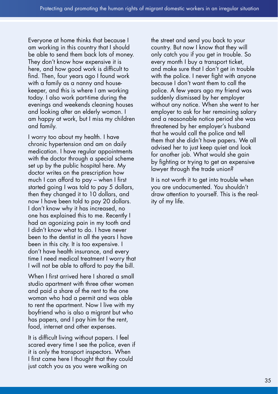Everyone at home thinks that because I am working in this country that I should be able to send them back lots of money. They don't know how expensive it is here, and how good work is difficult to find. Then, four years ago I found work with a family as a nanny and housekeeper, and this is where I am working today. I also work part-time during the evenings and weekends cleaning houses and looking after an elderly woman. I am happy at work, but I miss my children and family.

I worry too about my health. I have chronic hypertension and am on daily medication. I have regular appointments with the doctor through a special scheme set up by the public hospital here. My doctor writes on the prescription how much I can afford to pay – when I first started going I was told to pay 5 dollars, then they changed it to 10 dollars, and now I have been told to pay 20 dollars. I don't know why it has increased, no one has explained this to me. Recently I had an agonizing pain in my tooth and I didn't know what to do. I have never been to the dentist in all the years I have been in this city. It is too expensive. I don't have health insurance, and every time I need medical treatment I worry that I will not be able to afford to pay the bill.

When I first arrived here I shared a small studio apartment with three other women and paid a share of the rent to the one woman who had a permit and was able to rent the apartment. Now I live with my boyfriend who is also a migrant but who has papers, and I pay him for the rent, food, internet and other expenses.

It is difficult living without papers. I feel scared every time I see the police, even if it is only the transport inspectors. When I first came here I thought that they could just catch you as you were walking on

the street and send you back to your country. But now I know that they will only catch you if you get in trouble. So every month I buy a transport ticket, and make sure that I don't get in trouble with the police. I never fight with anyone because I don't want them to call the police. A few years ago my friend was suddenly dismissed by her employer without any notice. When she went to her employer to ask for her remaining salary and a reasonable notice period she was threatened by her employer's husband that he would call the police and tell them that she didn't have papers. We all advised her to just keep quiet and look for another job. What would she gain by fighting or trying to get an expensive lawyer through the trade union?

It is not worth it to get into trouble when you are undocumented. You shouldn't draw attention to yourself. This is the reality of my life.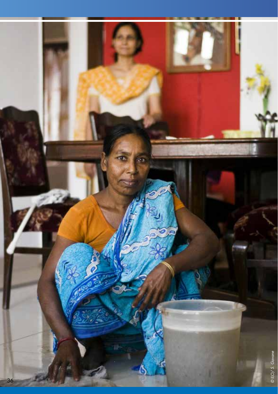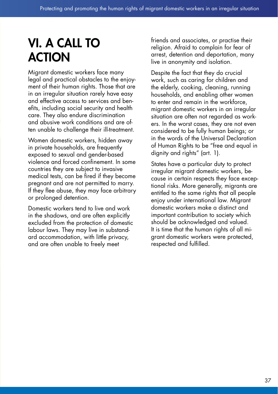### VI. A CALL TO ACTION

Migrant domestic workers face many legal and practical obstacles to the enjoyment of their human rights. Those that are in an irregular situation rarely have easy and effective access to services and benefits, including social security and health care. They also endure discrimination and abusive work conditions and are often unable to challenge their ill-treatment.

Women domestic workers, hidden away in private households, are frequently exposed to sexual and gender-based violence and forced confinement. In some countries they are subject to invasive medical tests, can be fired if they become pregnant and are not permitted to marry. If they flee abuse, they may face arbitrary or prolonged detention.

Domestic workers tend to live and work in the shadows, and are often explicitly excluded from the protection of domestic labour laws. They may live in substandard accommodation, with little privacy, and are often unable to freely meet

friends and associates, or practise their religion. Afraid to complain for fear of arrest, detention and deportation, many live in anonymity and isolation.

Despite the fact that they do crucial work, such as caring for children and the elderly, cooking, cleaning, running households, and enabling other women to enter and remain in the workforce, migrant domestic workers in an irregular situation are often not regarded as workers. In the worst cases, they are not even considered to be fully human beings; or in the words of the Universal Declaration of Human Rights to be "free and equal in dignity and rights" (art. 1).

States have a particular duty to protect irregular migrant domestic workers, because in certain respects they face exceptional risks. More generally, migrants are entitled to the same rights that all people enjoy under international law. Migrant domestic workers make a distinct and important contribution to society which should be acknowledged and valued. It is time that the human rights of all migrant domestic workers were protected, respected and fulfilled.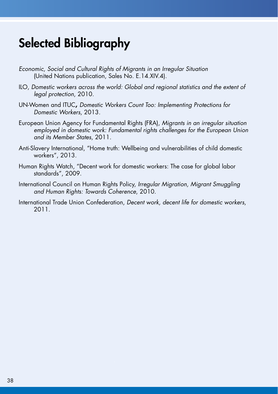### Selected Bibliography

- *Economic, Social and Cultural Rights of Migrants in an Irregular Situation* (United Nations publication, Sales No. E.14.XIV.4).
- ILO, *Domestic workers across the world: Global and regional statistics and the extent of legal protection*, 2010.
- UN-Women and ITUC**,** *Domestic Workers Count Too: Implementing Protections for Domestic Workers*, 2013.
- European Union Agency for Fundamental Rights (FRA), *Migrants in an irregular situation employed in domestic work: Fundamental rights challenges for the European Union and its Member States*, 2011.
- Anti-Slavery International, "Home truth: Wellbeing and vulnerabilities of child domestic workers", 2013.
- Human Rights Watch, "Decent work for domestic workers: The case for global labor standards", 2009.
- International Council on Human Rights Policy, *Irregular Migration, Migrant Smuggling and Human Rights: Towards Coherence*, 2010.
- International Trade Union Confederation, *Decent work, decent life for domestic workers*, 2011.